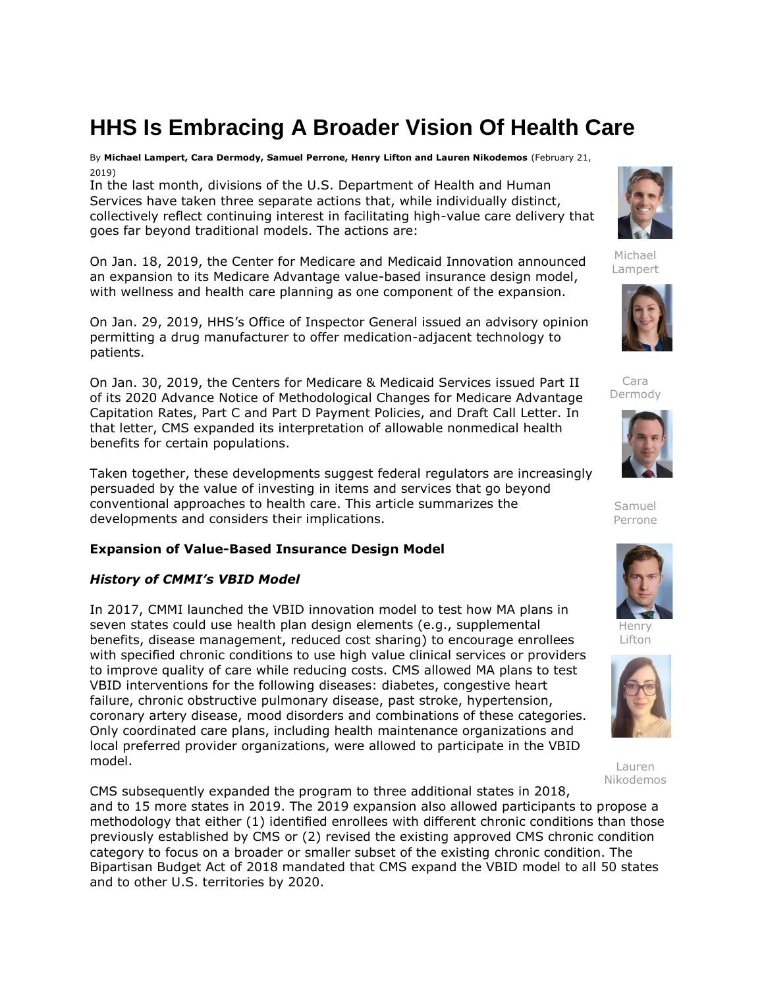# **HHS Is Embracing A Broader Vision Of Health Care**

By **Michael Lampert, Cara Dermody, Samuel Perrone, Henry Lifton and Lauren Nikodemos** (February 21, 2019)

In the last month, divisions of the [U.S. Department of Health and Human](https://www.law360.com/agencies/u-s-department-of-health-and-human-services)  [Services](https://www.law360.com/agencies/u-s-department-of-health-and-human-services) have taken three separate actions that, while individually distinct, collectively reflect continuing interest in facilitating high-value care delivery that goes far beyond traditional models. The actions are:

On Jan. 18, 2019, the Center for Medicare and Medicaid Innovation announced an expansion to its Medicare Advantage value-based insurance design model, with wellness and health care planning as one component of the expansion.

On Jan. 29, 2019, HHS's Office of Inspector General issued an advisory opinion permitting a drug manufacturer to offer medication-adjacent technology to patients.

On Jan. 30, 2019, the [Centers for Medicare & Medicaid Services](https://www.law360.com/agencies/centers-for-medicare-medicaid-services) issued Part II of its 2020 Advance Notice of Methodological Changes for Medicare Advantage Capitation Rates, Part C and Part D Payment Policies, and Draft Call Letter. In that letter, CMS expanded its interpretation of allowable nonmedical health benefits for certain populations.

Taken together, these developments suggest federal regulators are increasingly persuaded by the value of investing in items and services that go beyond conventional approaches to health care. This article summarizes the developments and considers their implications.

# **Expansion of Value-Based Insurance Design Model**

# *History of CMMI's VBID Model*

In 2017, CMMI launched the VBID innovation model to test how MA plans in seven states could use health plan design elements (e.g., supplemental benefits, disease management, reduced cost sharing) to encourage enrollees with specified chronic conditions to use high value clinical services or providers to improve quality of care while reducing costs. CMS allowed MA plans to test VBID interventions for the following diseases: diabetes, congestive heart failure, chronic obstructive pulmonary disease, past stroke, hypertension, coronary artery disease, mood disorders and combinations of these categories. Only coordinated care plans, including health maintenance organizations and local preferred provider organizations, were allowed to participate in the VBID model.

CMS subsequently expanded the program to three additional states in 2018, and to 15 more states in 2019. The 2019 expansion also allowed participants to propose a methodology that either (1) identified enrollees with different chronic conditions than those previously established by CMS or (2) revised the existing approved CMS chronic condition category to focus on a broader or smaller subset of the existing chronic condition. The Bipartisan Budget Act of 2018 mandated that CMS expand the VBID model to all 50 states and to other U.S. territories by 2020.



Michael Lampert



Cara Dermody



Samuel Perrone



Henry Lifton



Lauren Nikodemos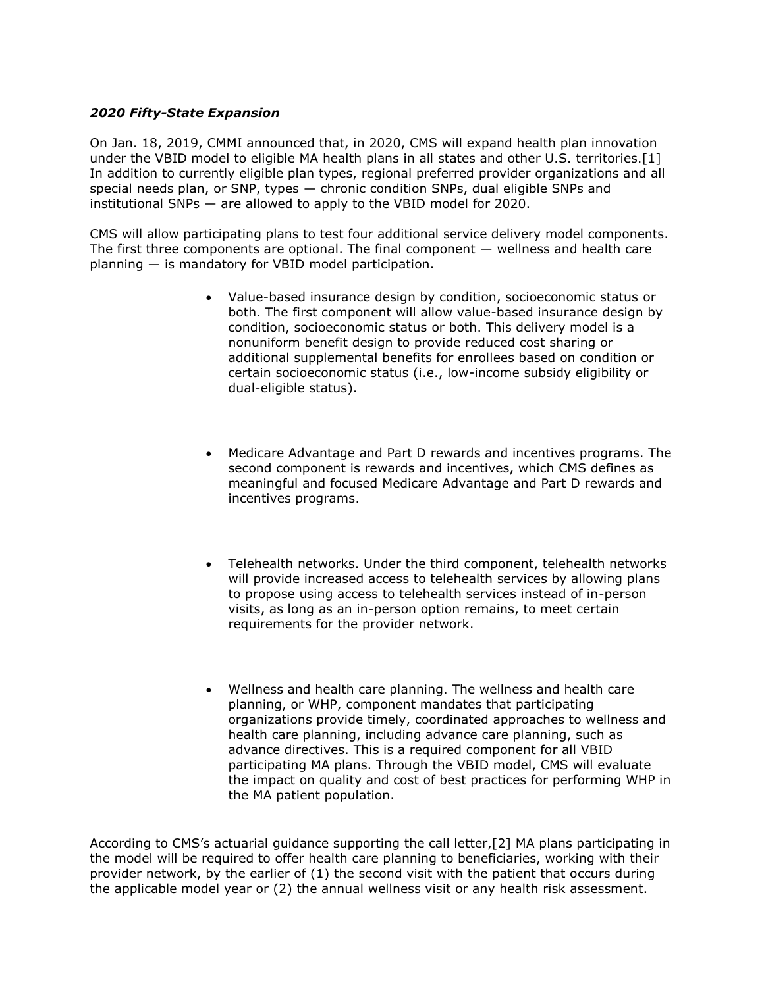## *2020 Fifty-State Expansion*

On Jan. 18, 2019, CMMI announced that, in 2020, CMS will expand health plan innovation under the VBID model to eligible MA health plans in all states and other U.S. territories.[1] In addition to currently eligible plan types, regional preferred provider organizations and all special needs plan, or SNP, types — chronic condition SNPs, dual eligible SNPs and institutional SNPs — are allowed to apply to the VBID model for 2020.

CMS will allow participating plans to test four additional service delivery model components. The first three components are optional. The final component  $-$  wellness and health care planning — is mandatory for VBID model participation.

- Value-based insurance design by condition, socioeconomic status or both. The first component will allow value-based insurance design by condition, socioeconomic status or both. This delivery model is a nonuniform benefit design to provide reduced cost sharing or additional supplemental benefits for enrollees based on condition or certain socioeconomic status (i.e., low-income subsidy eligibility or dual-eligible status).
- Medicare Advantage and Part D rewards and incentives programs. The second component is rewards and incentives, which CMS defines as meaningful and focused Medicare Advantage and Part D rewards and incentives programs.
- Telehealth networks. Under the third component, telehealth networks will provide increased access to telehealth services by allowing plans to propose using access to telehealth services instead of in-person visits, as long as an in-person option remains, to meet certain requirements for the provider network.
- Wellness and health care planning. The wellness and health care planning, or WHP, component mandates that participating organizations provide timely, coordinated approaches to wellness and health care planning, including advance care planning, such as advance directives. This is a required component for all VBID participating MA plans. Through the VBID model, CMS will evaluate the impact on quality and cost of best practices for performing WHP in the MA patient population.

According to CMS's actuarial guidance supporting the call letter,[2] MA plans participating in the model will be required to offer health care planning to beneficiaries, working with their provider network, by the earlier of (1) the second visit with the patient that occurs during the applicable model year or (2) the annual wellness visit or any health risk assessment.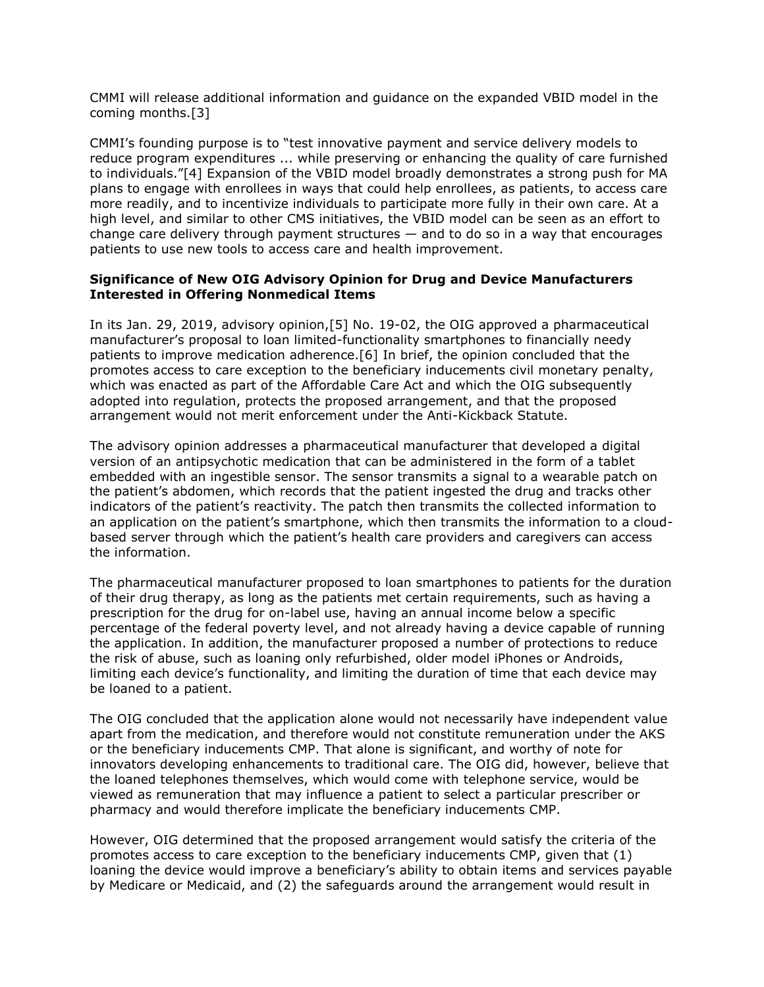CMMI will release additional information and guidance on the expanded VBID model in the coming months.[3]

CMMI's founding purpose is to "test innovative payment and service delivery models to reduce program expenditures ... while preserving or enhancing the quality of care furnished to individuals."[4] Expansion of the VBID model broadly demonstrates a strong push for MA plans to engage with enrollees in ways that could help enrollees, as patients, to access care more readily, and to incentivize individuals to participate more fully in their own care. At a high level, and similar to other CMS initiatives, the VBID model can be seen as an effort to change care delivery through payment structures — and to do so in a way that encourages patients to use new tools to access care and health improvement.

### **Significance of New OIG Advisory Opinion for Drug and Device Manufacturers Interested in Offering Nonmedical Items**

In its Jan. 29, 2019, advisory opinion,[5] No. 19-02, the OIG approved a pharmaceutical manufacturer's proposal to loan limited-functionality smartphones to financially needy patients to improve medication adherence.[6] In brief, the opinion concluded that the promotes access to care exception to the beneficiary inducements civil monetary penalty, which was enacted as part of the Affordable Care Act and which the OIG subsequently adopted into regulation, protects the proposed arrangement, and that the proposed arrangement would not merit enforcement under the Anti-Kickback Statute.

The advisory opinion addresses a pharmaceutical manufacturer that developed a digital version of an antipsychotic medication that can be administered in the form of a tablet embedded with an ingestible sensor. The sensor transmits a signal to a wearable patch on the patient's abdomen, which records that the patient ingested the drug and tracks other indicators of the patient's reactivity. The patch then transmits the collected information to an application on the patient's smartphone, which then transmits the information to a cloudbased server through which the patient's health care providers and caregivers can access the information.

The pharmaceutical manufacturer proposed to loan smartphones to patients for the duration of their drug therapy, as long as the patients met certain requirements, such as having a prescription for the drug for on-label use, having an annual income below a specific percentage of the federal poverty level, and not already having a device capable of running the application. In addition, the manufacturer proposed a number of protections to reduce the risk of abuse, such as loaning only refurbished, older model iPhones or Androids, limiting each device's functionality, and limiting the duration of time that each device may be loaned to a patient.

The OIG concluded that the application alone would not necessarily have independent value apart from the medication, and therefore would not constitute remuneration under the AKS or the beneficiary inducements CMP. That alone is significant, and worthy of note for innovators developing enhancements to traditional care. The OIG did, however, believe that the loaned telephones themselves, which would come with telephone service, would be viewed as remuneration that may influence a patient to select a particular prescriber or pharmacy and would therefore implicate the beneficiary inducements CMP.

However, OIG determined that the proposed arrangement would satisfy the criteria of the promotes access to care exception to the beneficiary inducements CMP, given that (1) loaning the device would improve a beneficiary's ability to obtain items and services payable by Medicare or Medicaid, and (2) the safeguards around the arrangement would result in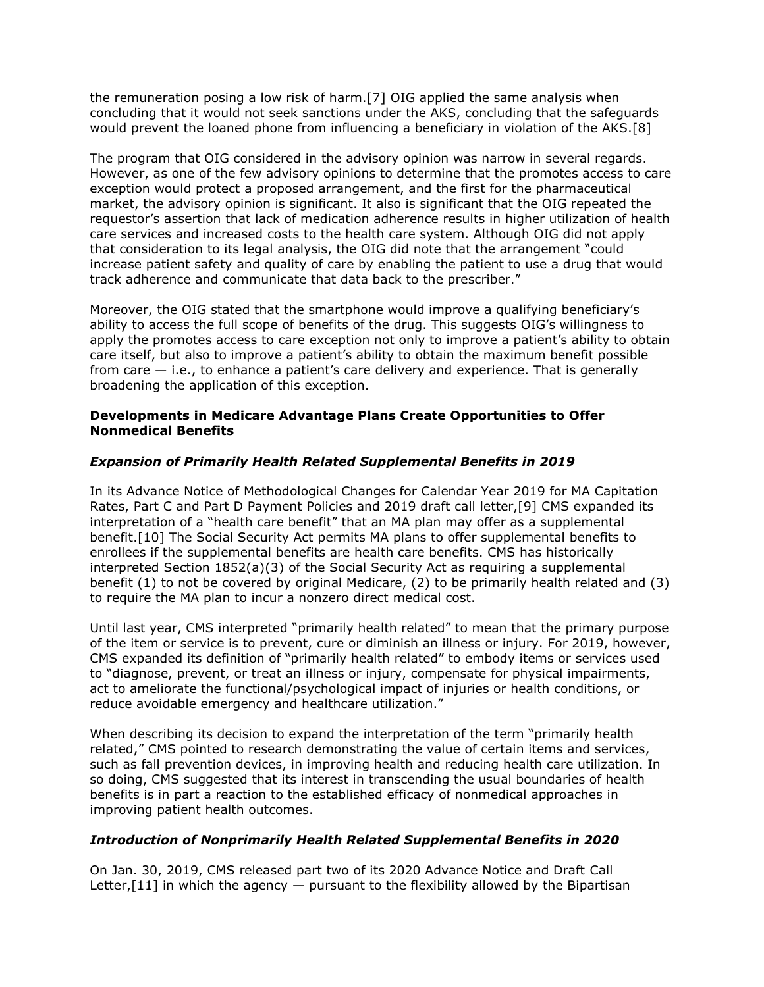the remuneration posing a low risk of harm.[7] OIG applied the same analysis when concluding that it would not seek sanctions under the AKS, concluding that the safeguards would prevent the loaned phone from influencing a beneficiary in violation of the AKS.[8]

The program that OIG considered in the advisory opinion was narrow in several regards. However, as one of the few advisory opinions to determine that the promotes access to care exception would protect a proposed arrangement, and the first for the pharmaceutical market, the advisory opinion is significant. It also is significant that the OIG repeated the requestor's assertion that lack of medication adherence results in higher utilization of health care services and increased costs to the health care system. Although OIG did not apply that consideration to its legal analysis, the OIG did note that the arrangement "could increase patient safety and quality of care by enabling the patient to use a drug that would track adherence and communicate that data back to the prescriber."

Moreover, the OIG stated that the smartphone would improve a qualifying beneficiary's ability to access the full scope of benefits of the drug. This suggests OIG's willingness to apply the promotes access to care exception not only to improve a patient's ability to obtain care itself, but also to improve a patient's ability to obtain the maximum benefit possible from care  $-$  i.e., to enhance a patient's care delivery and experience. That is generally broadening the application of this exception.

### **Developments in Medicare Advantage Plans Create Opportunities to Offer Nonmedical Benefits**

## *Expansion of Primarily Health Related Supplemental Benefits in 2019*

In its Advance Notice of Methodological Changes for Calendar Year 2019 for MA Capitation Rates, Part C and Part D Payment Policies and 2019 draft call letter,[9] CMS expanded its interpretation of a "health care benefit" that an MA plan may offer as a supplemental benefit.[10] The Social Security Act permits MA plans to offer supplemental benefits to enrollees if the supplemental benefits are health care benefits. CMS has historically interpreted Section 1852(a)(3) of the Social Security Act as requiring a supplemental benefit (1) to not be covered by original Medicare, (2) to be primarily health related and (3) to require the MA plan to incur a nonzero direct medical cost.

Until last year, CMS interpreted "primarily health related" to mean that the primary purpose of the item or service is to prevent, cure or diminish an illness or injury. For 2019, however, CMS expanded its definition of "primarily health related" to embody items or services used to "diagnose, prevent, or treat an illness or injury, compensate for physical impairments, act to ameliorate the functional/psychological impact of injuries or health conditions, or reduce avoidable emergency and healthcare utilization."

When describing its decision to expand the interpretation of the term "primarily health related," CMS pointed to research demonstrating the value of certain items and services, such as fall prevention devices, in improving health and reducing health care utilization. In so doing, CMS suggested that its interest in transcending the usual boundaries of health benefits is in part a reaction to the established efficacy of nonmedical approaches in improving patient health outcomes.

#### *Introduction of Nonprimarily Health Related Supplemental Benefits in 2020*

On Jan. 30, 2019, CMS released part two of its 2020 Advance Notice and Draft Call Letter, $[11]$  in which the agency  $-$  pursuant to the flexibility allowed by the Bipartisan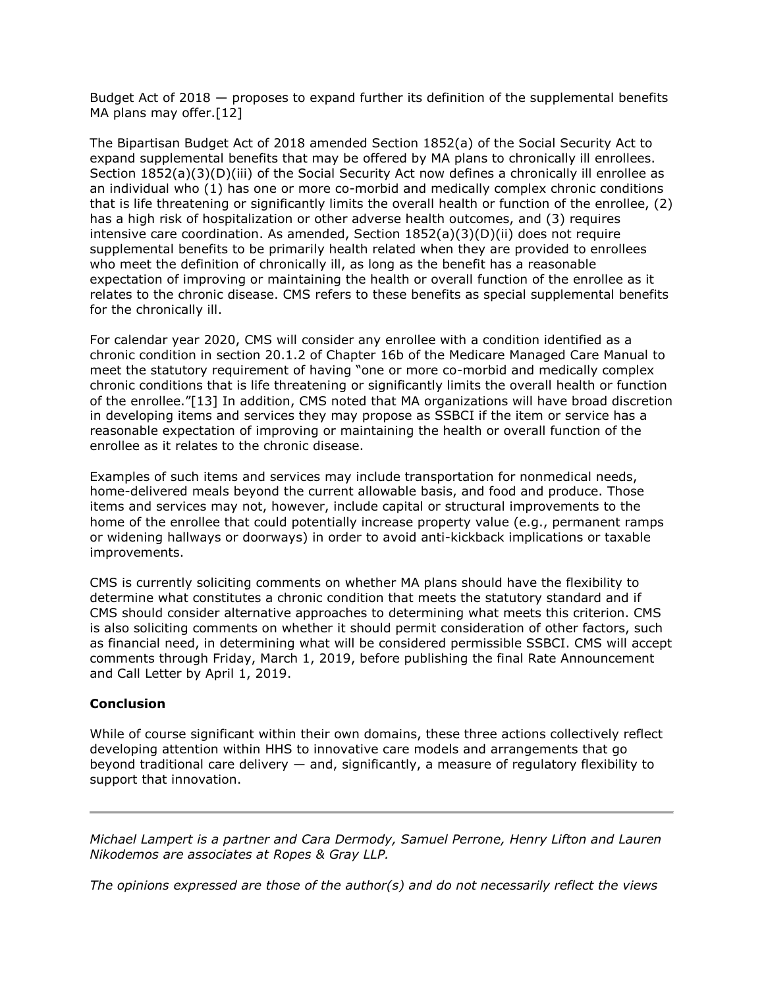Budget Act of 2018 — proposes to expand further its definition of the supplemental benefits MA plans may offer.<sup>[12]</sup>

The Bipartisan Budget Act of 2018 amended Section 1852(a) of the Social Security Act to expand supplemental benefits that may be offered by MA plans to chronically ill enrollees. Section 1852(a)(3)(D)(iii) of the Social Security Act now defines a chronically ill enrollee as an individual who (1) has one or more co-morbid and medically complex chronic conditions that is life threatening or significantly limits the overall health or function of the enrollee, (2) has a high risk of hospitalization or other adverse health outcomes, and (3) requires intensive care coordination. As amended, Section  $1852(a)(3)(D)(ii)$  does not require supplemental benefits to be primarily health related when they are provided to enrollees who meet the definition of chronically ill, as long as the benefit has a reasonable expectation of improving or maintaining the health or overall function of the enrollee as it relates to the chronic disease. CMS refers to these benefits as special supplemental benefits for the chronically ill.

For calendar year 2020, CMS will consider any enrollee with a condition identified as a chronic condition in section 20.1.2 of Chapter 16b of the Medicare Managed Care Manual to meet the statutory requirement of having "one or more co-morbid and medically complex chronic conditions that is life threatening or significantly limits the overall health or function of the enrollee."[13] In addition, CMS noted that MA organizations will have broad discretion in developing items and services they may propose as SSBCI if the item or service has a reasonable expectation of improving or maintaining the health or overall function of the enrollee as it relates to the chronic disease.

Examples of such items and services may include transportation for nonmedical needs, home-delivered meals beyond the current allowable basis, and food and produce. Those items and services may not, however, include capital or structural improvements to the home of the enrollee that could potentially increase property value (e.g., permanent ramps or widening hallways or doorways) in order to avoid anti-kickback implications or taxable improvements.

CMS is currently soliciting comments on whether MA plans should have the flexibility to determine what constitutes a chronic condition that meets the statutory standard and if CMS should consider alternative approaches to determining what meets this criterion. CMS is also soliciting comments on whether it should permit consideration of other factors, such as financial need, in determining what will be considered permissible SSBCI. CMS will accept comments through Friday, March 1, 2019, before publishing the final Rate Announcement and Call Letter by April 1, 2019.

#### **Conclusion**

While of course significant within their own domains, these three actions collectively reflect developing attention within HHS to innovative care models and arrangements that go beyond traditional care delivery — and, significantly, a measure of regulatory flexibility to support that innovation.

*[Michael Lampert](https://www.ropesgray.com/en/biographies/l/michael-b-lampert) is a partner and [Cara Dermody,](https://www.ropesgray.com/en/biographies/d/cara-dermody?AK=dermody) [Samuel Perrone,](https://www.ropesgray.com/en/biographies/p/samuel-perrone?AK=perrone) [Henry Lifton](https://www.ropesgray.com/en/biographies/l/henry-lifton?AK=lifton) and [Lauren](https://www.ropesgray.com/en/biographies/n/lauren-nikodemos?AK=nikod)  [Nikodemos](https://www.ropesgray.com/en/biographies/n/lauren-nikodemos?AK=nikod) are associates at [Ropes & Gray LLP.](https://www.law360.com/firms/ropes-gray)*

*The opinions expressed are those of the author(s) and do not necessarily reflect the views*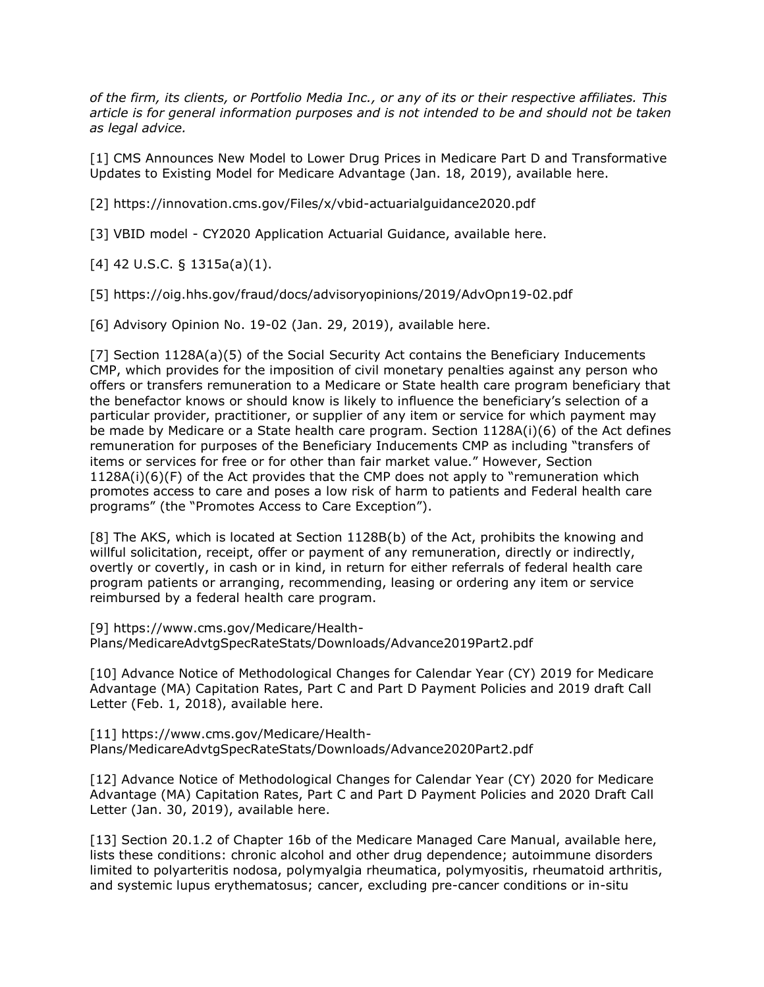*of the firm, its clients, or Portfolio Media Inc., or any of its or their respective affiliates. This article is for general information purposes and is not intended to be and should not be taken as legal advice.*

[1] CMS Announces New Model to Lower Drug Prices in Medicare Part D and Transformative Updates to Existing Model for Medicare Advantage (Jan. 18, 2019), available [here.](https://www.cms.gov/newsroom/press-releases/cms-announces-new-model-lower-drug-prices-medicare-part-d-and-transformative-updates-existing-model)

[2] <https://innovation.cms.gov/Files/x/vbid-actuarialguidance2020.pdf>

[3] VBID model - CY2020 Application Actuarial Guidance, available [here.](https://innovation.cms.gov/Files/x/vbid-actuarialguidance2020.pdf)

[4] 42 U.S.C. § 1315a(a)(1).

[5] <https://oig.hhs.gov/fraud/docs/advisoryopinions/2019/AdvOpn19-02.pdf>

[6] Advisory Opinion No. 19-02 (Jan. 29, 2019), available [here.](https://www.cms.gov/Medicare/Health-Plans/MedicareAdvtgSpecRateStats/Downloads/Advance2019Part2.pdf)

[7] Section 1128A(a)(5) of the Social Security Act contains the Beneficiary Inducements CMP, which provides for the imposition of civil monetary penalties against any person who offers or transfers remuneration to a Medicare or State health care program beneficiary that the benefactor knows or should know is likely to influence the beneficiary's selection of a particular provider, practitioner, or supplier of any item or service for which payment may be made by Medicare or a State health care program. Section 1128A(i)(6) of the Act defines remuneration for purposes of the Beneficiary Inducements CMP as including "transfers of items or services for free or for other than fair market value." However, Section 1128A(i)(6)(F) of the Act provides that the CMP does not apply to "remuneration which promotes access to care and poses a low risk of harm to patients and Federal health care programs" (the "Promotes Access to Care Exception").

[8] The AKS, which is located at Section 1128B(b) of the Act, prohibits the knowing and willful solicitation, receipt, offer or payment of any remuneration, directly or indirectly, overtly or covertly, in cash or in kind, in return for either referrals of federal health care program patients or arranging, recommending, leasing or ordering any item or service reimbursed by a federal health care program.

[9] [https://www.cms.gov/Medicare/Health-](https://www.cms.gov/Medicare/Health-Plans/MedicareAdvtgSpecRateStats/Downloads/Advance2019Part2.pdf)[Plans/MedicareAdvtgSpecRateStats/Downloads/Advance2019Part2.pdf](https://www.cms.gov/Medicare/Health-Plans/MedicareAdvtgSpecRateStats/Downloads/Advance2019Part2.pdf)

[10] Advance Notice of Methodological Changes for Calendar Year (CY) 2019 for Medicare Advantage (MA) Capitation Rates, Part C and Part D Payment Policies and 2019 draft Call Letter (Feb. 1, 2018), available [here.](https://www.cms.gov/Medicare/Health-Plans/MedicareAdvtgSpecRateStats/Downloads/Advance2019Part2.pdf)

[11] [https://www.cms.gov/Medicare/Health-](https://www.cms.gov/Medicare/Health-Plans/MedicareAdvtgSpecRateStats/Downloads/Advance2020Part2.pdf)[Plans/MedicareAdvtgSpecRateStats/Downloads/Advance2020Part2.pdf](https://www.cms.gov/Medicare/Health-Plans/MedicareAdvtgSpecRateStats/Downloads/Advance2020Part2.pdf)

[12] Advance Notice of Methodological Changes for Calendar Year (CY) 2020 for Medicare Advantage (MA) Capitation Rates, Part C and Part D Payment Policies and 2020 Draft Call Letter (Jan. 30, 2019), available [here.](https://www.cms.gov/Medicare/Health-Plans/MedicareAdvtgSpecRateStats/Downloads/Advance2020Part2.pdf)

[13] Section 20.1.2 of Chapter 16b of the Medicare Managed Care Manual, available [here,](https://www.cms.gov/Regulations-and-Guidance/Guidance/Manuals/Downloads/mc86c16b.pdf) lists these conditions: chronic alcohol and other drug dependence; autoimmune disorders limited to polyarteritis nodosa, polymyalgia rheumatica, polymyositis, rheumatoid arthritis, and systemic lupus erythematosus; cancer, excluding pre-cancer conditions or in-situ